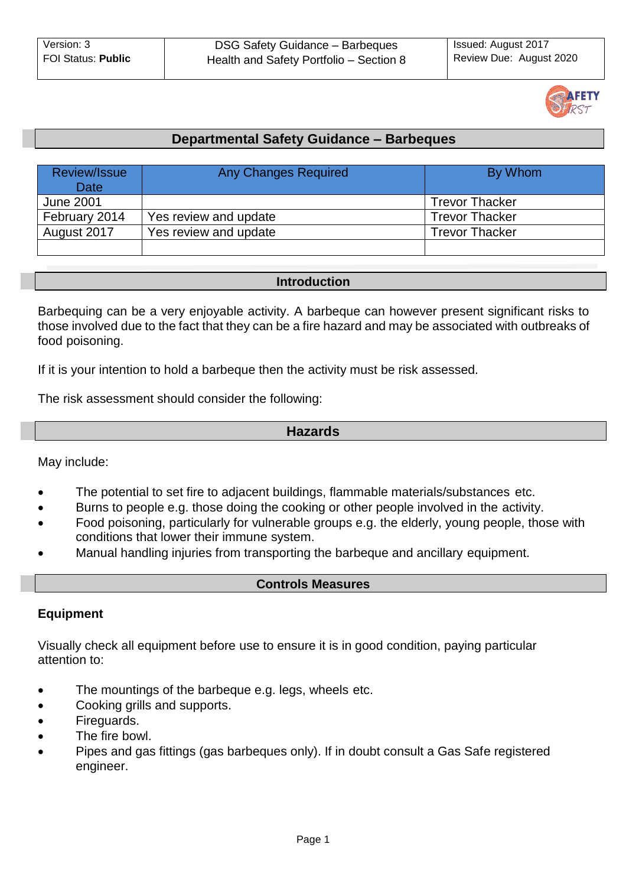

# **Departmental Safety Guidance – Barbeques**

| Review/Issue<br><b>Date</b> | <b>Any Changes Required</b> | By Whom               |
|-----------------------------|-----------------------------|-----------------------|
| <b>June 2001</b>            |                             | <b>Trevor Thacker</b> |
| February 2014               | Yes review and update       | <b>Trevor Thacker</b> |
| August 2017                 | Yes review and update       | <b>Trevor Thacker</b> |
|                             |                             |                       |

#### **Introduction**

Barbequing can be a very enjoyable activity. A barbeque can however present significant risks to those involved due to the fact that they can be a fire hazard and may be associated with outbreaks of food poisoning.

If it is your intention to hold a barbeque then the activity must be risk assessed.

The risk assessment should consider the following:

# **Hazards**

May include:

- The potential to set fire to adjacent buildings, flammable materials/substances etc.
- Burns to people e.g. those doing the cooking or other people involved in the activity.
- Food poisoning, particularly for vulnerable groups e.g. the elderly, young people, those with conditions that lower their immune system.
- Manual handling injuries from transporting the barbeque and ancillary equipment.

#### **Controls Measures**

# **Equipment**

Visually check all equipment before use to ensure it is in good condition, paying particular attention to:

- The mountings of the barbeque e.g. legs, wheels etc.
- Cooking grills and supports.
- Fireguards.
- The fire bowl.
- Pipes and gas fittings (gas barbeques only). If in doubt consult a Gas Safe registered engineer.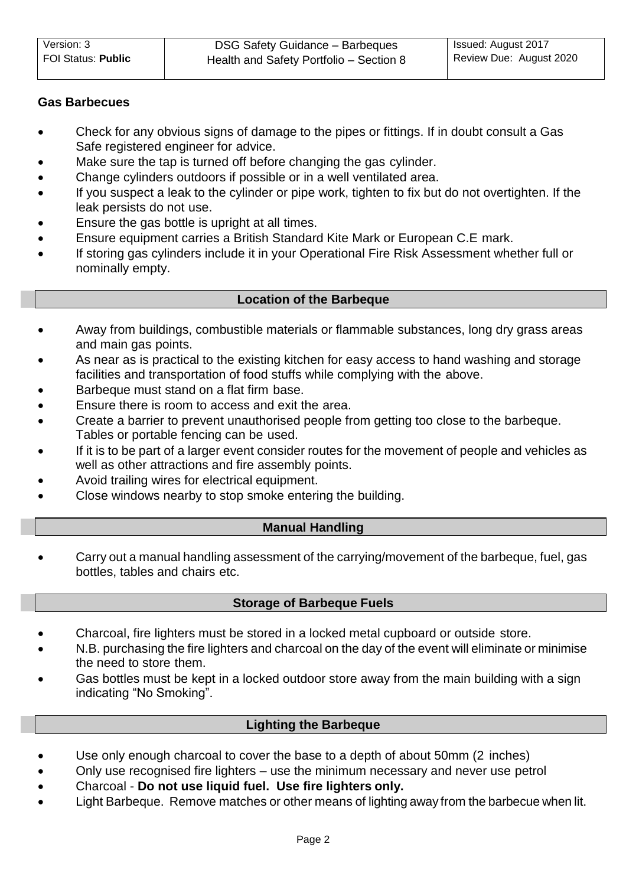# **Gas Barbecues**

- Check for any obvious signs of damage to the pipes or fittings. If in doubt consult a Gas Safe registered engineer for advice.
- Make sure the tap is turned off before changing the gas cylinder.
- Change cylinders outdoors if possible or in a well ventilated area.
- If you suspect a leak to the cylinder or pipe work, tighten to fix but do not overtighten. If the leak persists do not use.
- Ensure the gas bottle is upright at all times.
- Ensure equipment carries a British Standard Kite Mark or European C.E mark.
- If storing gas cylinders include it in your Operational Fire Risk Assessment whether full or nominally empty.

# **Location of the Barbeque**

- Away from buildings, combustible materials or flammable substances, long dry grass areas and main gas points.
- As near as is practical to the existing kitchen for easy access to hand washing and storage facilities and transportation of food stuffs while complying with the above.
- Barbeque must stand on a flat firm base.
- Ensure there is room to access and exit the area.
- Create a barrier to prevent unauthorised people from getting too close to the barbeque. Tables or portable fencing can be used.
- If it is to be part of a larger event consider routes for the movement of people and vehicles as well as other attractions and fire assembly points.
- Avoid trailing wires for electrical equipment.
- Close windows nearby to stop smoke entering the building.

# **Manual Handling**

 Carry out a manual handling assessment of the carrying/movement of the barbeque, fuel, gas bottles, tables and chairs etc.

# **Storage of Barbeque Fuels**

- Charcoal, fire lighters must be stored in a locked metal cupboard or outside store.
- N.B. purchasing the fire lighters and charcoal on the day of the event will eliminate or minimise the need to store them.
- Gas bottles must be kept in a locked outdoor store away from the main building with a sign indicating "No Smoking".

# **Lighting the Barbeque**

- Use only enough charcoal to cover the base to a depth of about 50mm (2 inches)
- Only use recognised fire lighters use the minimum necessary and never use petrol
- Charcoal **Do not use liquid fuel. Use fire lighters only.**
- Light Barbeque. Remove matches or other means of lighting away from the barbecue when lit.